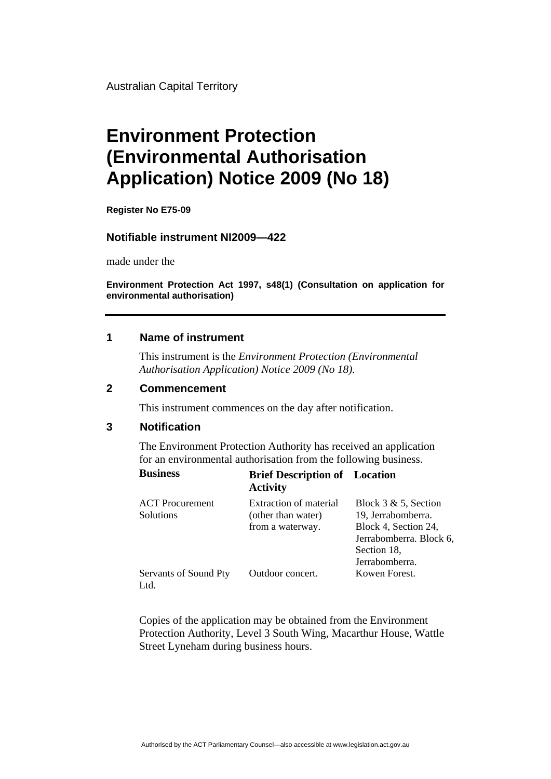Australian Capital Territory

# **Environment Protection (Environmental Authorisation Application) Notice 2009 (No 18)**

**Register No E75-09** 

### **Notifiable instrument NI2009—422**

made under the

**Environment Protection Act 1997, s48(1) (Consultation on application for environmental authorisation)**

### **1 Name of instrument**

This instrument is the *Environment Protection (Environmental Authorisation Application) Notice 2009 (No 18).* 

## **2 Commencement**

This instrument commences on the day after notification.

#### **3 Notification**

The Environment Protection Authority has received an application for an environmental authorisation from the following business.

| <b>Business</b>                     | <b>Brief Description of</b> Location<br><b>Activity</b>          |                                                                                                                                    |
|-------------------------------------|------------------------------------------------------------------|------------------------------------------------------------------------------------------------------------------------------------|
| <b>ACT</b> Procurement<br>Solutions | Extraction of material<br>(other than water)<br>from a waterway. | Block $3 \& 5$ , Section<br>19, Jerrabomberra.<br>Block 4, Section 24,<br>Jerrabomberra. Block 6,<br>Section 18,<br>Jerrabomberra. |
| Servants of Sound Pty<br>Ltd.       | Outdoor concert.                                                 | Kowen Forest.                                                                                                                      |

Copies of the application may be obtained from the Environment Protection Authority, Level 3 South Wing, Macarthur House, Wattle Street Lyneham during business hours.